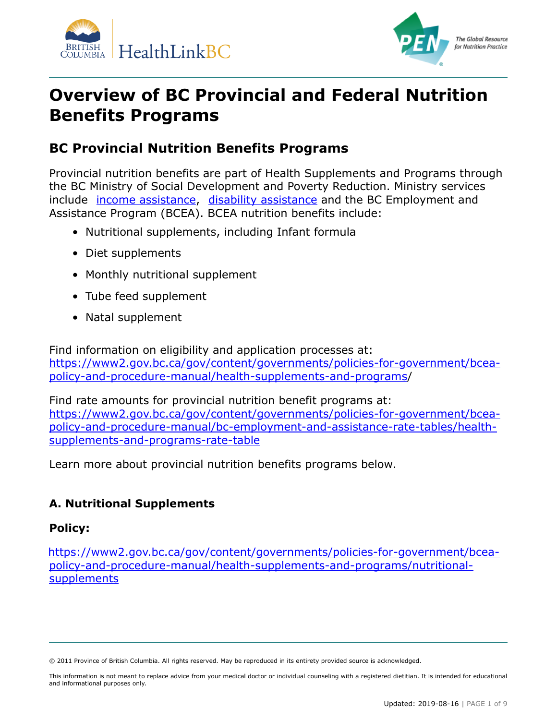



# **Overview of BC Provincial and Federal Nutrition Benefits Programs**

# **BC Provincial Nutrition Benefits Programs**

Provincial nutrition benefits are part of Health Supplements and Programs through the BC Ministry of Social Development and Poverty Reduction. Ministry services include *[income assistance,](https://www2.gov.bc.ca/gov/content/family-social-supports/income-assistance) [disability assistance](https://www2.gov.bc.ca/gov/content/family-social-supports/services-for-people-with-disabilities/disability-assistance)* and the BC Employment and Assistance Program (BCEA). BCEA nutrition benefits include:

- Nutritional supplements, including Infant formula
- Diet supplements
- Monthly nutritional supplement
- Tube feed supplement
- Natal supplement

Find information on eligibility and application processes at: [https://www2.gov.bc.ca/gov/content/governments/policies-for-government/bcea](https://www2.gov.bc.ca/gov/content/governments/policies-for-government/bcea-policy-and-procedure-manual/health-supplements-and-programs)[policy-and-procedure-manual/health-supplements-and-programs/](https://www2.gov.bc.ca/gov/content/governments/policies-for-government/bcea-policy-and-procedure-manual/health-supplements-and-programs)

Find rate amounts for provincial nutrition benefit programs at: . [https://www2.gov.bc.ca/gov/content/governments/policies-for-government/bcea](https://www2.gov.bc.ca/gov/content/governments/policies-for-government/bcea-policy-and-procedure-manual/bc-employment-and-assistance-rate-tables/health-supplements-and-programs-rate-table)[policy-and-procedure-manual/bc-employment-and-assistance-rate-tables/health](https://www2.gov.bc.ca/gov/content/governments/policies-for-government/bcea-policy-and-procedure-manual/bc-employment-and-assistance-rate-tables/health-supplements-and-programs-rate-table)[supplements-and-programs-rate-table](https://www2.gov.bc.ca/gov/content/governments/policies-for-government/bcea-policy-and-procedure-manual/bc-employment-and-assistance-rate-tables/health-supplements-and-programs-rate-table)

Learn more about provincial nutrition benefits programs below.

### **A. Nutritional Supplements**

#### **Policy:**

. [https://www2.gov.bc.ca/gov/content/governments/policies-for-government/bcea](https://www2.gov.bc.ca/gov/content/governments/policies-for-government/bcea-policy-and-procedure-manual/health-supplements-and-programs/nutritional-supplements)[policy-and-procedure-manual/health-supplements-and-programs/nutritional](https://www2.gov.bc.ca/gov/content/governments/policies-for-government/bcea-policy-and-procedure-manual/health-supplements-and-programs/nutritional-supplements)[supplements](https://www2.gov.bc.ca/gov/content/governments/policies-for-government/bcea-policy-and-procedure-manual/health-supplements-and-programs/nutritional-supplements)

<sup>© 2011</sup> Province of British Columbia. All rights reserved. May be reproduced in its entirety provided source is acknowledged.

This information is not meant to replace advice from your medical doctor or individual counseling with a registered dietitian. It is intended for educational and informational purposes only.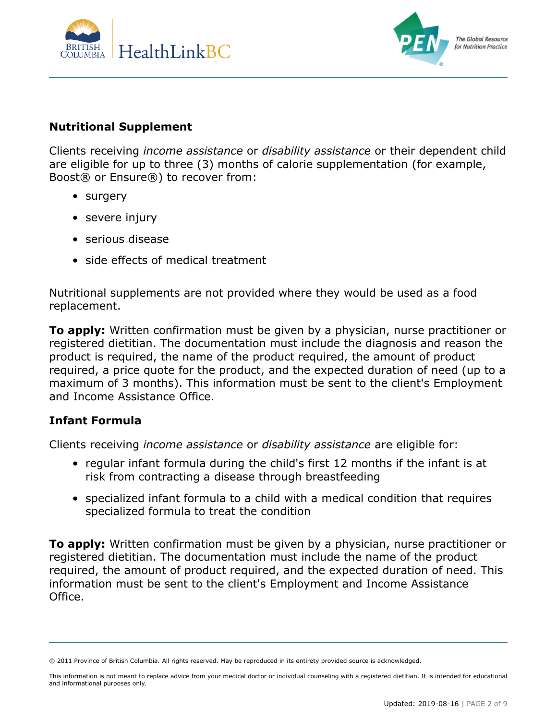



#### **Nutritional Supplement**

Clients receiving *income assistance* or *disability assistance* or their dependent child are eligible for up to three (3) months of calorie supplementation (for example, Boost® or Ensure®) to recover from:

- surgery
- severe injury
- serious disease
- side effects of medical treatment

Nutritional supplements are not provided where they would be used as a food replacement.

**To apply:** Written confirmation must be given by a physician, nurse practitioner or registered dietitian. The documentation must include the diagnosis and reason the product is required, the name of the product required, the amount of product required, a price quote for the product, and the expected duration of need (up to a maximum of 3 months). This information must be sent to the client's Employment and Income Assistance Office.

#### **Infant Formula**

Clients receiving *income assistance* or *disability assistance* are eligible for:

- regular infant formula during the child's first 12 months if the infant is at risk from contracting a disease through breastfeeding
- specialized infant formula to a child with a medical condition that requires specialized formula to treat the condition

**To apply:** Written confirmation must be given by a physician, nurse practitioner or registered dietitian. The documentation must include the name of the product required, the amount of product required, and the expected duration of need. This information must be sent to the client's Employment and Income Assistance Office.

<sup>© 2011</sup> Province of British Columbia. All rights reserved. May be reproduced in its entirety provided source is acknowledged.

This information is not meant to replace advice from your medical doctor or individual counseling with a registered dietitian. It is intended for educational and informational purposes only.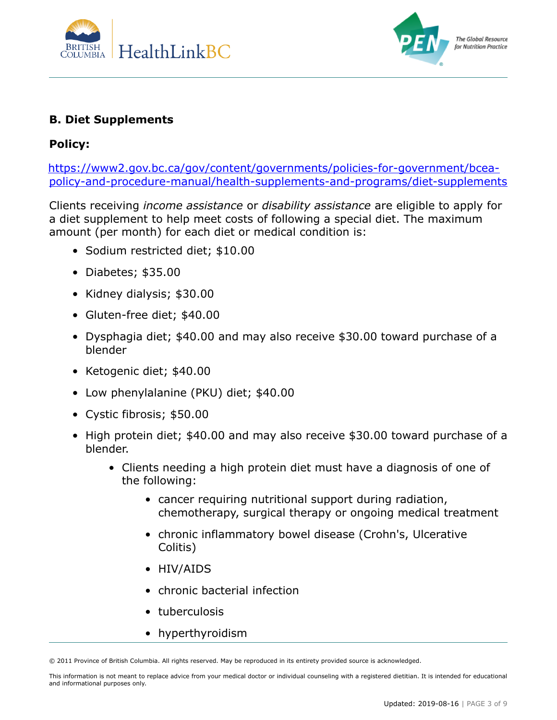



#### **B. Diet Supplements**

#### **Policy:**

. [https://www2.gov.bc.ca/gov/content/governments/policies-for-government/bcea](https://www2.gov.bc.ca/gov/content/governments/policies-for-government/bcea-policy-and-procedure-manual/health-supplements-and-programs/diet-supplements)[policy-and-procedure-manual/health-supplements-and-programs/diet-supplements](https://www2.gov.bc.ca/gov/content/governments/policies-for-government/bcea-policy-and-procedure-manual/health-supplements-and-programs/diet-supplements)

Clients receiving *income assistance* or *disability assistance* are eligible to apply for a diet supplement to help meet costs of following a special diet. The maximum amount (per month) for each diet or medical condition is:

- Sodium restricted diet; \$10.00
- Diabetes; \$35.00
- Kidney dialysis; \$30.00
- Gluten-free diet; \$40.00
- Dysphagia diet; \$40.00 and may also receive \$30.00 toward purchase of a blender
- Ketogenic diet; \$40.00
- Low phenylalanine (PKU) diet; \$40.00
- Cystic fibrosis; \$50.00
- High protein diet; \$40.00 and may also receive \$30.00 toward purchase of a blender.
	- Clients needing a high protein diet must have a diagnosis of one of the following:
		- cancer requiring nutritional support during radiation, chemotherapy, surgical therapy or ongoing medical treatment
		- chronic inflammatory bowel disease (Crohn's, Ulcerative Colitis)
		- HIV/AIDS
		- chronic bacterial infection
		- tuberculosis
		- hyperthyroidism

<sup>© 2011</sup> Province of British Columbia. All rights reserved. May be reproduced in its entirety provided source is acknowledged.

This information is not meant to replace advice from your medical doctor or individual counseling with a registered dietitian. It is intended for educational and informational purposes only.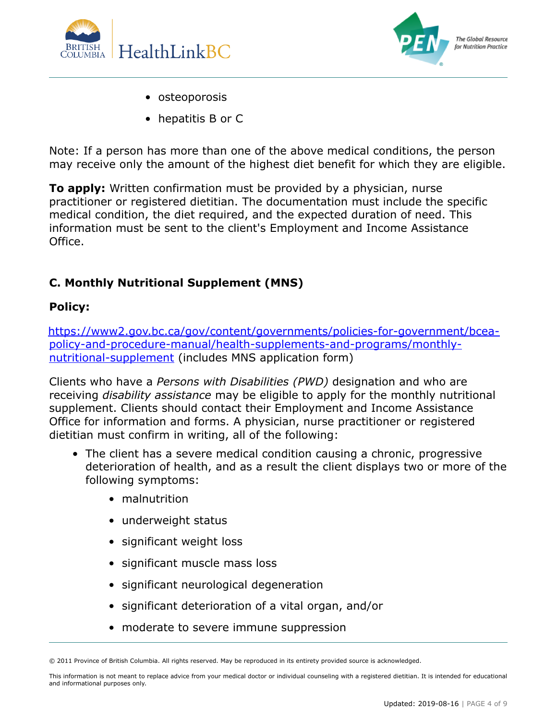



- osteoporosis
- hepatitis B or C

Note: If a person has more than one of the above medical conditions, the person may receive only the amount of the highest diet benefit for which they are eligible.

**To apply:** Written confirmation must be provided by a physician, nurse practitioner or registered dietitian. The documentation must include the specific medical condition, the diet required, and the expected duration of need. This information must be sent to the client's Employment and Income Assistance Office.

#### **C. Monthly Nutritional Supplement (MNS)**

#### **Policy:**

. [https://www2.gov.bc.ca/gov/content/governments/policies-for-government/bcea](https://www2.gov.bc.ca/gov/content/governments/policies-for-government/bcea-policy-and-procedure-manual/health-supplements-and-programs/monthly-nutritional-supplement)[policy-and-procedure-manual/health-supplements-and-programs/monthly](https://www2.gov.bc.ca/gov/content/governments/policies-for-government/bcea-policy-and-procedure-manual/health-supplements-and-programs/monthly-nutritional-supplement)[nutritional-supplement](https://www2.gov.bc.ca/gov/content/governments/policies-for-government/bcea-policy-and-procedure-manual/health-supplements-and-programs/monthly-nutritional-supplement) (includes MNS application form)

Clients who have a *Persons with Disabilities (PWD)* designation and who are receiving *disability assistance* may be eligible to apply for the monthly nutritional supplement. Clients should contact their Employment and Income Assistance Office for information and forms. A physician, nurse practitioner or registered dietitian must confirm in writing, all of the following:

- The client has a severe medical condition causing a chronic, progressive deterioration of health, and as a result the client displays two or more of the following symptoms:
	- malnutrition
	- underweight status
	- significant weight loss
	- significant muscle mass loss
	- significant neurological degeneration
	- significant deterioration of a vital organ, and/or
	- moderate to severe immune suppression

<sup>© 2011</sup> Province of British Columbia. All rights reserved. May be reproduced in its entirety provided source is acknowledged.

This information is not meant to replace advice from your medical doctor or individual counseling with a registered dietitian. It is intended for educational and informational purposes only.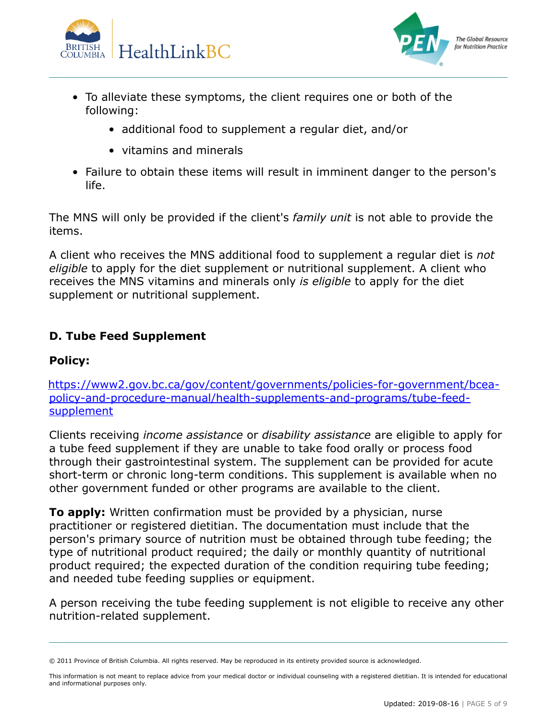



- To alleviate these symptoms, the client requires one or both of the following:
	- additional food to supplement a regular diet, and/or
	- vitamins and minerals
- Failure to obtain these items will result in imminent danger to the person's life.

The MNS will only be provided if the client's *family unit* is not able to provide the items.

A client who receives the MNS additional food to supplement a regular diet is *not eligible* to apply for the diet supplement or nutritional supplement. A client who receives the MNS vitamins and minerals only *is eligible* to apply for the diet supplement or nutritional supplement.

#### **D. Tube Feed Supplement**

#### **Policy:**

. [https://www2.gov.bc.ca/gov/content/governments/policies-for-government/bcea](https://www2.gov.bc.ca/gov/content/governments/policies-for-government/bcea-policy-and-procedure-manual/health-supplements-and-programs/tube-feed-supplement)[policy-and-procedure-manual/health-supplements-and-programs/tube-feed](https://www2.gov.bc.ca/gov/content/governments/policies-for-government/bcea-policy-and-procedure-manual/health-supplements-and-programs/tube-feed-supplement)[supplement](https://www2.gov.bc.ca/gov/content/governments/policies-for-government/bcea-policy-and-procedure-manual/health-supplements-and-programs/tube-feed-supplement)

Clients receiving *income assistance* or *disability assistance* are eligible to apply for a tube feed supplement if they are unable to take food orally or process food through their gastrointestinal system. The supplement can be provided for acute short-term or chronic long-term conditions. This supplement is available when no other government funded or other programs are available to the client.

**To apply:** Written confirmation must be provided by a physician, nurse practitioner or registered dietitian. The documentation must include that the person's primary source of nutrition must be obtained through tube feeding; the type of nutritional product required; the daily or monthly quantity of nutritional product required; the expected duration of the condition requiring tube feeding; and needed tube feeding supplies or equipment.

A person receiving the tube feeding supplement is not eligible to receive any other nutrition-related supplement.

<sup>© 2011</sup> Province of British Columbia. All rights reserved. May be reproduced in its entirety provided source is acknowledged.

This information is not meant to replace advice from your medical doctor or individual counseling with a registered dietitian. It is intended for educational and informational purposes only.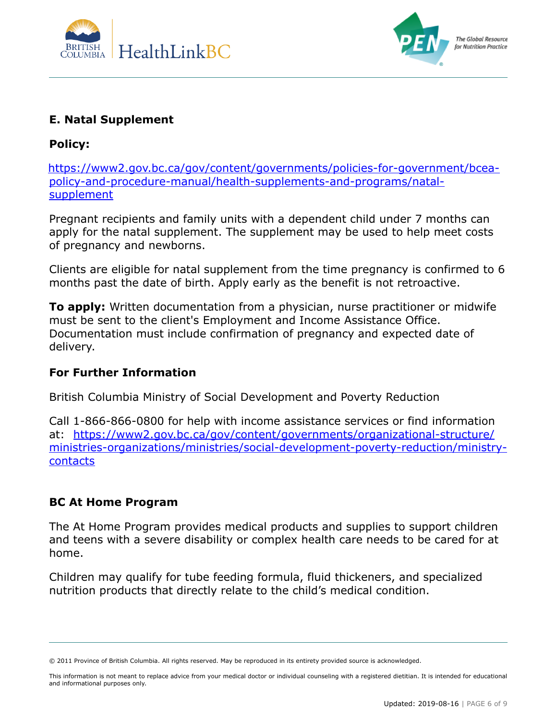



#### **E. Natal Supplement**

#### **Policy:**

. [https://www2.gov.bc.ca/gov/content/governments/policies-for-government/bcea](https://www2.gov.bc.ca/gov/content/governments/policies-for-government/bcea-policy-and-procedure-manual/health-supplements-and-programs/natal-supplement)[policy-and-procedure-manual/health-supplements-and-programs/natal](https://www2.gov.bc.ca/gov/content/governments/policies-for-government/bcea-policy-and-procedure-manual/health-supplements-and-programs/natal-supplement)**[supplement](https://www2.gov.bc.ca/gov/content/governments/policies-for-government/bcea-policy-and-procedure-manual/health-supplements-and-programs/natal-supplement)** 

Pregnant recipients and family units with a dependent child under 7 months can apply for the natal supplement. The supplement may be used to help meet costs of pregnancy and newborns.

Clients are eligible for natal supplement from the time pregnancy is confirmed to 6 months past the date of birth. Apply early as the benefit is not retroactive.

**To apply:** Written documentation from a physician, nurse practitioner or midwife must be sent to the client's Employment and Income Assistance Office. Documentation must include confirmation of pregnancy and expected date of delivery.

#### **For Further Information**

British Columbia Ministry of Social Development and Poverty Reduction

Call 1-866-866-0800 for help with income assistance services or find information at: [https://www2.gov.bc.ca/gov/content/governments/organizational-structure/](https://www2.gov.bc.ca/gov/content/governments/organizational-structure/ministries-organizations/ministries/social-development-poverty-reduction/ministry-contacts) [ministries-organizations/ministries/social-development-poverty-reduction/ministry](https://www2.gov.bc.ca/gov/content/governments/organizational-structure/ministries-organizations/ministries/social-development-poverty-reduction/ministry-contacts)[contacts](https://www2.gov.bc.ca/gov/content/governments/organizational-structure/ministries-organizations/ministries/social-development-poverty-reduction/ministry-contacts)

#### **BC At Home Program**

The At Home Program provides medical products and supplies to support children and teens with a severe disability or complex health care needs to be cared for at home.

Children may qualify for tube feeding formula, fluid thickeners, and specialized nutrition products that directly relate to the child's medical condition.

<sup>© 2011</sup> Province of British Columbia. All rights reserved. May be reproduced in its entirety provided source is acknowledged.

This information is not meant to replace advice from your medical doctor or individual counseling with a registered dietitian. It is intended for educational and informational purposes only.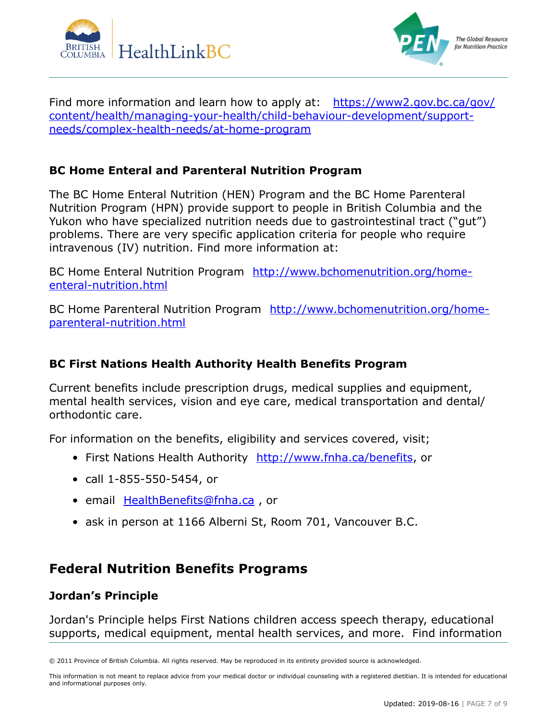



Find more information and learn how to apply at: [https://www2.gov.bc.ca/gov/](https://www2.gov.bc.ca/gov/content/health/managing-your-health/child-behaviour-development/support-needs/complex-health-needs/at-home-program) [content/health/managing-your-health/child-behaviour-development/support](https://www2.gov.bc.ca/gov/content/health/managing-your-health/child-behaviour-development/support-needs/complex-health-needs/at-home-program)[needs/complex-health-needs/at-home-program](https://www2.gov.bc.ca/gov/content/health/managing-your-health/child-behaviour-development/support-needs/complex-health-needs/at-home-program)

#### **BC Home Enteral and Parenteral Nutrition Program**

The BC Home Enteral Nutrition (HEN) Program and the BC Home Parenteral Nutrition Program (HPN) provide support to people in British Columbia and the Yukon who have specialized nutrition needs due to gastrointestinal tract ("gut") problems. There are very specific application criteria for people who require intravenous (IV) nutrition. Find more information at:

BC Home Enteral Nutrition Program [http://www.bchomenutrition.org/home](http://www.bchomenutrition.org/home-enteral-nutrition.html)[enteral-nutrition.html](http://www.bchomenutrition.org/home-enteral-nutrition.html)

BC Home Parenteral Nutrition Program [http://www.bchomenutrition.org/home](http://www.bchomenutrition.org/home-parenteral-nutrition.html)[parenteral-nutrition.html](http://www.bchomenutrition.org/home-parenteral-nutrition.html)

#### **BC First Nations Health Authority Health Benefits Program**

Current benefits include prescription drugs, medical supplies and equipment, mental health services, vision and eye care, medical transportation and dental/ orthodontic care.

For information on the benefits, eligibility and services covered, visit;

- First Nations Health Authority <http://www.fnha.ca/benefits>, or
- call 1-855-550-5454, or
- email [HealthBenefits@fnha.ca](mailto:HealthBenefits@fnha.ca), or
- ask in person at 1166 Alberni St, Room 701, Vancouver B.C.

## **Federal Nutrition Benefits Programs**

#### **Jordan's Principle**

Jordan's Principle helps First Nations children access speech therapy, educational supports, medical equipment, mental health services, and more. Find information

<sup>© 2011</sup> Province of British Columbia. All rights reserved. May be reproduced in its entirety provided source is acknowledged.

This information is not meant to replace advice from your medical doctor or individual counseling with a registered dietitian. It is intended for educational and informational purposes only.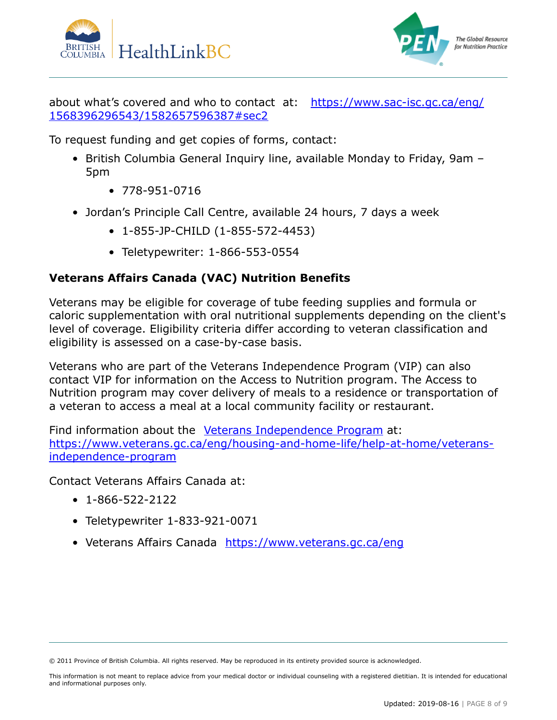



about what's covered and who to contact at: [https://www.sac-isc.gc.ca/eng/](https://www.sac-isc.gc.ca/eng/1568396296543/1582657596387#sec2) [1568396296543/1582657596387#sec2](https://www.sac-isc.gc.ca/eng/1568396296543/1582657596387#sec2)

To request funding and get copies of forms, contact:

- British Columbia General Inquiry line, available Monday to Friday, 9am 5pm
	- 778-951-0716
- Jordan's Principle Call Centre, available 24 hours, 7 days a week
	- 1-855-JP-CHILD (1-855-572-4453)
	- Teletypewriter: 1-866-553-0554

#### **Veterans Affairs Canada (VAC) Nutrition Benefits**

Veterans may be eligible for coverage of tube feeding supplies and formula or caloric supplementation with oral nutritional supplements depending on the client's level of coverage. Eligibility criteria differ according to veteran classification and eligibility is assessed on a case-by-case basis.

Veterans who are part of the Veterans Independence Program (VIP) can also contact VIP for information on the Access to Nutrition program. The Access to Nutrition program may cover delivery of meals to a residence or transportation of a veteran to access a meal at a local community facility or restaurant.

Find information about the [Veterans Independence Program](https://www.veterans.gc.ca/eng/housing-and-home-life/help-at-home/veterans-independence-program) at: [https://www.veterans.gc.ca/eng/housing-and-home-life/help-at-home/veterans](https://www.veterans.gc.ca/eng/housing-and-home-life/help-at-home/veterans-independence-program/)[independence-program](https://www.veterans.gc.ca/eng/housing-and-home-life/help-at-home/veterans-independence-program/)

Contact Veterans Affairs Canada at:

- 1-866-522-2122
- Teletypewriter 1-833-921-0071
- Veterans Affairs Canada <https://www.veterans.gc.ca/eng>

<sup>© 2011</sup> Province of British Columbia. All rights reserved. May be reproduced in its entirety provided source is acknowledged.

This information is not meant to replace advice from your medical doctor or individual counseling with a registered dietitian. It is intended for educational and informational purposes only.